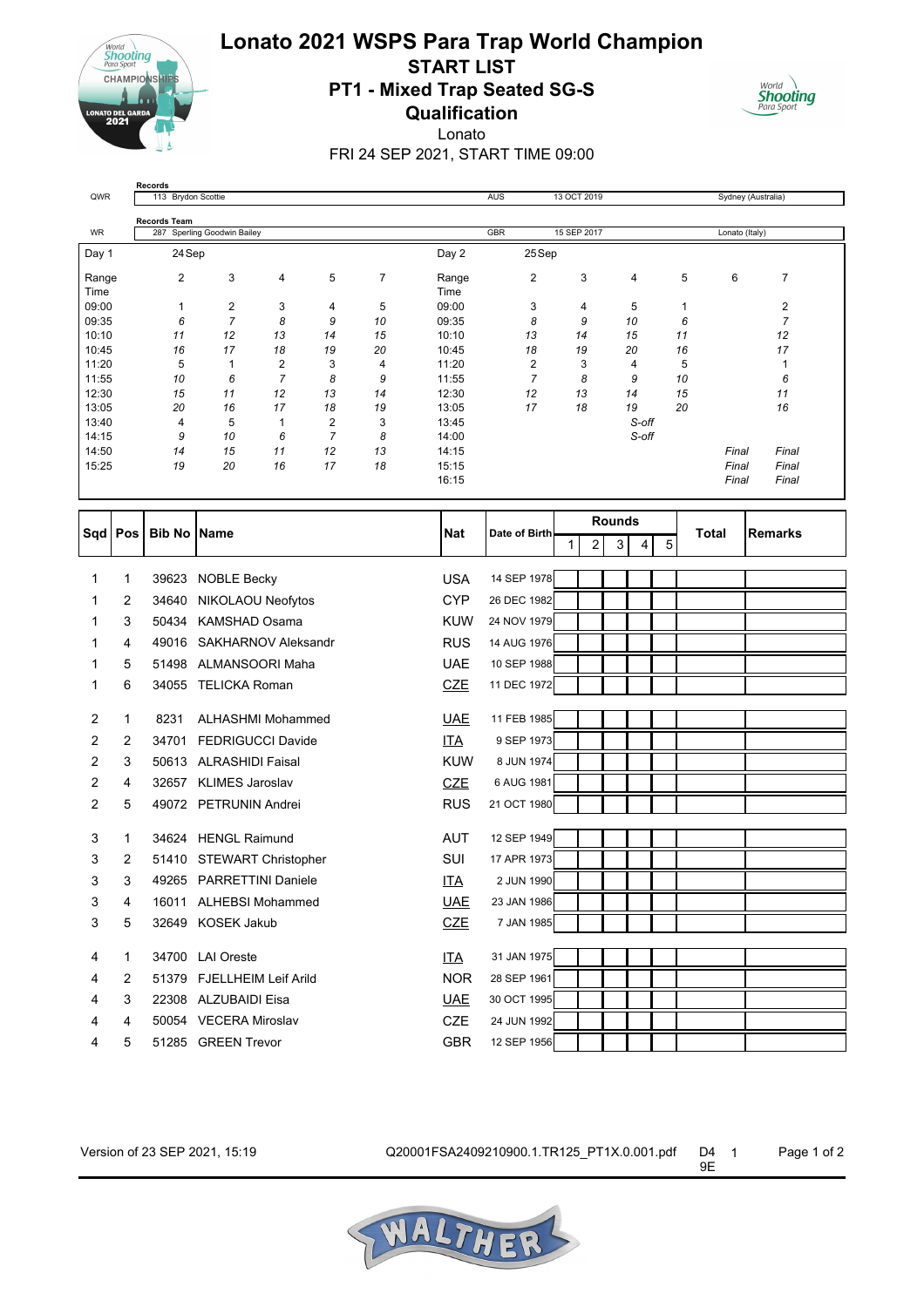

Records

# Lonato 2021 WSPS Para Trap World Champion START LIST PT1 - Mixed Trap Seated SG-S **Qualification**



Lonato FRI 24 SEP 2021, START TIME 09:00

| QWR            |                | 113 Brydon Scottie  |                             |                      |                |                |                | <b>AUS</b>                    | 13 OCT 2019 |               |         |                | Sydney (Australia) |  |
|----------------|----------------|---------------------|-----------------------------|----------------------|----------------|----------------|----------------|-------------------------------|-------------|---------------|---------|----------------|--------------------|--|
|                |                | <b>Records Team</b> |                             |                      |                |                |                |                               |             |               |         |                |                    |  |
| WR             |                |                     | 287 Sperling Goodwin Bailey |                      |                |                |                | GBR                           | 15 SEP 2017 |               |         | Lonato (Italy) |                    |  |
| Day 1          |                | 24 Sep              |                             |                      |                |                | Day 2          | 25Sep                         |             |               |         |                |                    |  |
| Range          |                | 2                   | 3                           | 4                    | 5              | $\overline{7}$ | Range          | 2                             | 3           | 4             | 5       | 6              | $\overline{7}$     |  |
| Time           |                |                     |                             |                      |                |                | Time           |                               |             |               |         |                |                    |  |
| 09:00          |                | 1                   | $\overline{2}$              | 3                    | 4              | 5              | 09:00          | 3                             | 4           | 5             | 1       |                | 2                  |  |
| 09:35          |                | 6                   | $\overline{7}$              | 8                    | 9              | 10             | 09:35          | 8                             | 9           | 10            | 6       |                | $\overline{7}$     |  |
| 10:10          |                | 11                  | 12                          | 13                   | 14             | 15             | 10:10          | 13                            | 14          | 15            | 11      |                | 12                 |  |
| 10:45<br>11:20 |                | 16<br>5             | 17<br>$\mathbf{1}$          | 18<br>$\overline{2}$ | 19<br>3        | 20<br>4        | 10:45<br>11:20 | 18<br>$\overline{\mathbf{c}}$ | 19<br>3     | 20<br>4       | 16<br>5 |                | 17<br>1            |  |
| 11:55          |                | 10                  | 6                           | $\overline{7}$       | 8              | 9              | 11:55          | $\overline{7}$                | 8           | 9             | 10      |                | 6                  |  |
| 12:30          |                | 15                  | 11                          | 12                   | 13             | 14             | 12:30          | 12                            | 13          | 14            | 15      |                | 11                 |  |
| 13:05          |                | 20                  | 16                          | 17                   | 18             | 19             | 13:05          | 17                            | 18          | 19            | 20      |                | 16                 |  |
| 13:40          |                | 4                   | 5                           | $\mathbf{1}$         | 2              | 3              | 13:45          |                               |             | S-off         |         |                |                    |  |
| 14:15          |                | 9                   | 10                          | 6                    | $\overline{7}$ | 8              | 14:00          |                               |             | S-off         |         |                |                    |  |
| 14:50          |                | 14                  | 15                          | 11                   | 12             | 13             | 14:15          |                               |             |               |         | Final          | Final              |  |
| 15:25          |                | 19                  | 20                          | 16                   | 17             | 18             | 15:15<br>16:15 |                               |             |               |         | Final<br>Final | Final<br>Final     |  |
|                |                |                     |                             |                      |                |                |                |                               |             |               |         |                |                    |  |
|                |                |                     |                             |                      |                |                |                |                               |             | <b>Rounds</b> |         |                |                    |  |
| Sqd   Pos      |                | <b>Bib No IName</b> |                             |                      |                |                | Nat            | Date of Birth                 |             |               |         | Total          | <b>Remarks</b>     |  |
|                |                |                     |                             |                      |                |                |                |                               | 2<br>1      | 3<br>4        | 5       |                |                    |  |
| 1              | 1              |                     | 39623 NOBLE Becky           |                      |                |                | <b>USA</b>     | 14 SEP 1978                   |             |               |         |                |                    |  |
| 1              | 2              | 34640               | NIKOLAOU Neofytos           |                      |                |                | <b>CYP</b>     | 26 DEC 1982                   |             |               |         |                |                    |  |
| 1              | 3              | 50434               | <b>KAMSHAD Osama</b>        |                      |                |                | <b>KUW</b>     | 24 NOV 1979                   |             |               |         |                |                    |  |
| 1              | 4              | 49016               | SAKHARNOV Aleksandr         |                      |                |                | <b>RUS</b>     | 14 AUG 1976                   |             |               |         |                |                    |  |
| 1              | 5              | 51498               | ALMANSOORI Maha             |                      |                |                | <b>UAE</b>     | 10 SEP 1988                   |             |               |         |                |                    |  |
| 1              | 6              | 34055               | TELICKA Roman               |                      |                |                | <b>CZE</b>     | 11 DEC 1972                   |             |               |         |                |                    |  |
|                |                |                     |                             |                      |                |                |                |                               |             |               |         |                |                    |  |
| 2              | $\mathbf{1}$   | 8231                | <b>ALHASHMI Mohammed</b>    |                      |                |                | <b>UAE</b>     | 11 FEB 1985                   |             |               |         |                |                    |  |
| 2              | 2              |                     | 34701 FEDRIGUCCI Davide     |                      |                |                | <b>ITA</b>     | 9 SEP 1973                    |             |               |         |                |                    |  |
| 2              | 3              |                     | 50613 ALRASHIDI Faisal      |                      |                |                | <b>KUW</b>     | 8 JUN 1974                    |             |               |         |                |                    |  |
| 2              | 4              |                     | 32657 KLIMES Jaroslav       |                      |                |                | <b>CZE</b>     | 6 AUG 1981                    |             |               |         |                |                    |  |
| 2              | 5              |                     | 49072 PETRUNIN Andrei       |                      |                |                | <b>RUS</b>     | 21 OCT 1980                   |             |               |         |                |                    |  |
|                |                |                     |                             |                      |                |                |                |                               |             |               |         |                |                    |  |
| 3              | 1              | 34624               | <b>HENGL Raimund</b>        |                      |                |                | <b>AUT</b>     | 12 SEP 1949                   |             |               |         |                |                    |  |
| 3              | 2              |                     | 51410 STEWART Christopher   |                      |                |                | SUI            | 17 APR 1973                   |             |               |         |                |                    |  |
| 3              | 3              |                     | 49265 PARRETTINI Daniele    |                      |                |                | <b>ITA</b>     | 2 JUN 1990                    |             |               |         |                |                    |  |
| 3              | 4              |                     | 16011 ALHEBSI Mohammed      |                      |                |                | <b>UAE</b>     | 23 JAN 1986                   |             |               |         |                |                    |  |
| 3              | 5              |                     | 32649 KOSEK Jakub           |                      |                |                | <b>CZE</b>     | 7 JAN 1985                    |             |               |         |                |                    |  |
| 4              | 1              |                     | 34700 LAI Oreste            |                      |                |                | <u>ITA</u>     | 31 JAN 1975                   |             |               |         |                |                    |  |
| 4              | $\overline{c}$ |                     | 51379 FJELLHEIM Leif Arild  |                      |                |                | <b>NOR</b>     | 28 SEP 1961                   |             |               |         |                |                    |  |
| 4              | 3              |                     | 22308 ALZUBAIDI Eisa        |                      |                |                | <b>UAE</b>     | 30 OCT 1995                   |             |               |         |                |                    |  |
| 4              | 4              |                     | 50054 VECERA Miroslav       |                      |                |                | CZE            | 24 JUN 1992                   |             |               |         |                |                    |  |
| 4              | 5              |                     | 51285 GREEN Trevor          |                      |                |                | <b>GBR</b>     | 12 SEP 1956                   |             |               |         |                |                    |  |

Version of 23 SEP 2021, 15:19 Q20001FSA2409210900.1.TR125\_PT1X.0.001.pdf D4 1 Page 1 of 2 9E

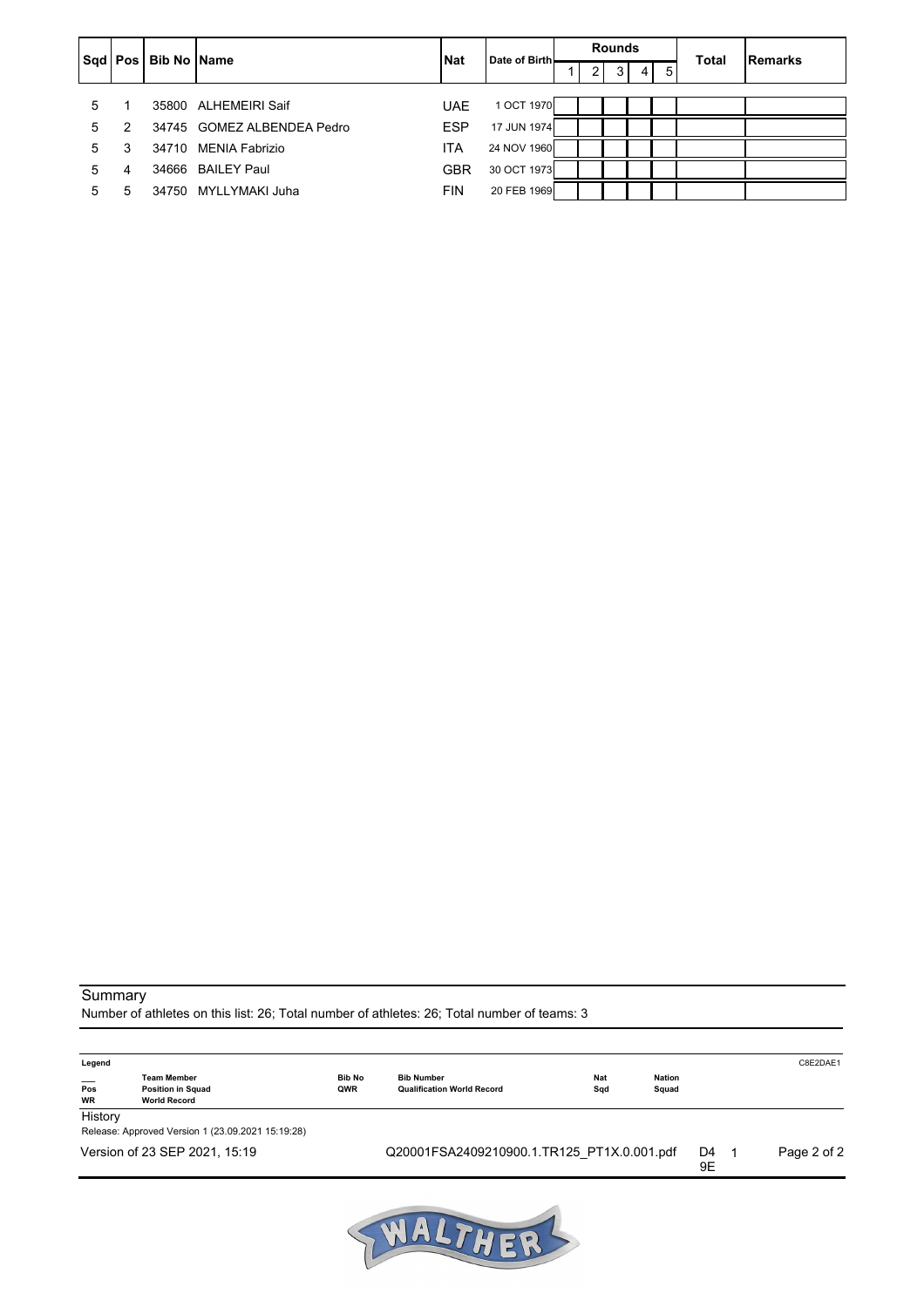| Sqd   Pos |   | <b>Bib No IName</b> |                            | <b>Nat</b> | Date of Birth |                | <b>Rounds</b> |   |   | Total | Remarks |
|-----------|---|---------------------|----------------------------|------------|---------------|----------------|---------------|---|---|-------|---------|
|           |   |                     |                            |            |               | 2 <sub>1</sub> | 3 I           | 4 | 5 |       |         |
|           |   |                     |                            |            |               |                |               |   |   |       |         |
| 5         |   |                     | 35800 ALHEMEIRI Saif       | <b>UAE</b> | 1 OCT 1970    |                |               |   |   |       |         |
| 5         | 2 |                     | 34745 GOMEZ ALBENDEA Pedro | <b>ESP</b> | 17 JUN 1974   |                |               |   |   |       |         |
| 5         | 3 |                     | 34710 MENIA Fabrizio       | ITA        | 24 NOV 1960   |                |               |   |   |       |         |
| 5         | 4 |                     | 34666 BAILEY Paul          | <b>GBR</b> | 30 OCT 1973   |                |               |   |   |       |         |
| 5.        | 5 |                     | 34750 MYLLYMAKI Juha       | <b>FIN</b> | 20 FEB 1969   |                |               |   |   |       |         |

### **Summary**

Number of athletes on this list: 26; Total number of athletes: 26; Total number of teams: 3

| Legend                                        |                                                   |               |                                            |            |        |          | C8E2DAE1    |
|-----------------------------------------------|---------------------------------------------------|---------------|--------------------------------------------|------------|--------|----------|-------------|
| $\qquad \qquad \overbrace{\qquad \qquad }^{}$ | <b>Team Member</b>                                | <b>Bib No</b> | <b>Bib Number</b>                          | <b>Nat</b> | Nation |          |             |
| Pos                                           | <b>Position in Squad</b>                          | QWR           | <b>Qualification World Record</b>          | Sqd        | Squad  |          |             |
| <b>WR</b>                                     | <b>World Record</b>                               |               |                                            |            |        |          |             |
| History                                       |                                                   |               |                                            |            |        |          |             |
|                                               | Release: Approved Version 1 (23.09.2021 15:19:28) |               |                                            |            |        |          |             |
|                                               | Version of 23 SEP 2021, 15:19                     |               | Q20001FSA2409210900.1.TR125 PT1X.0.001.pdf |            |        | D4<br>9E | Page 2 of 2 |
|                                               |                                                   |               |                                            |            |        |          |             |

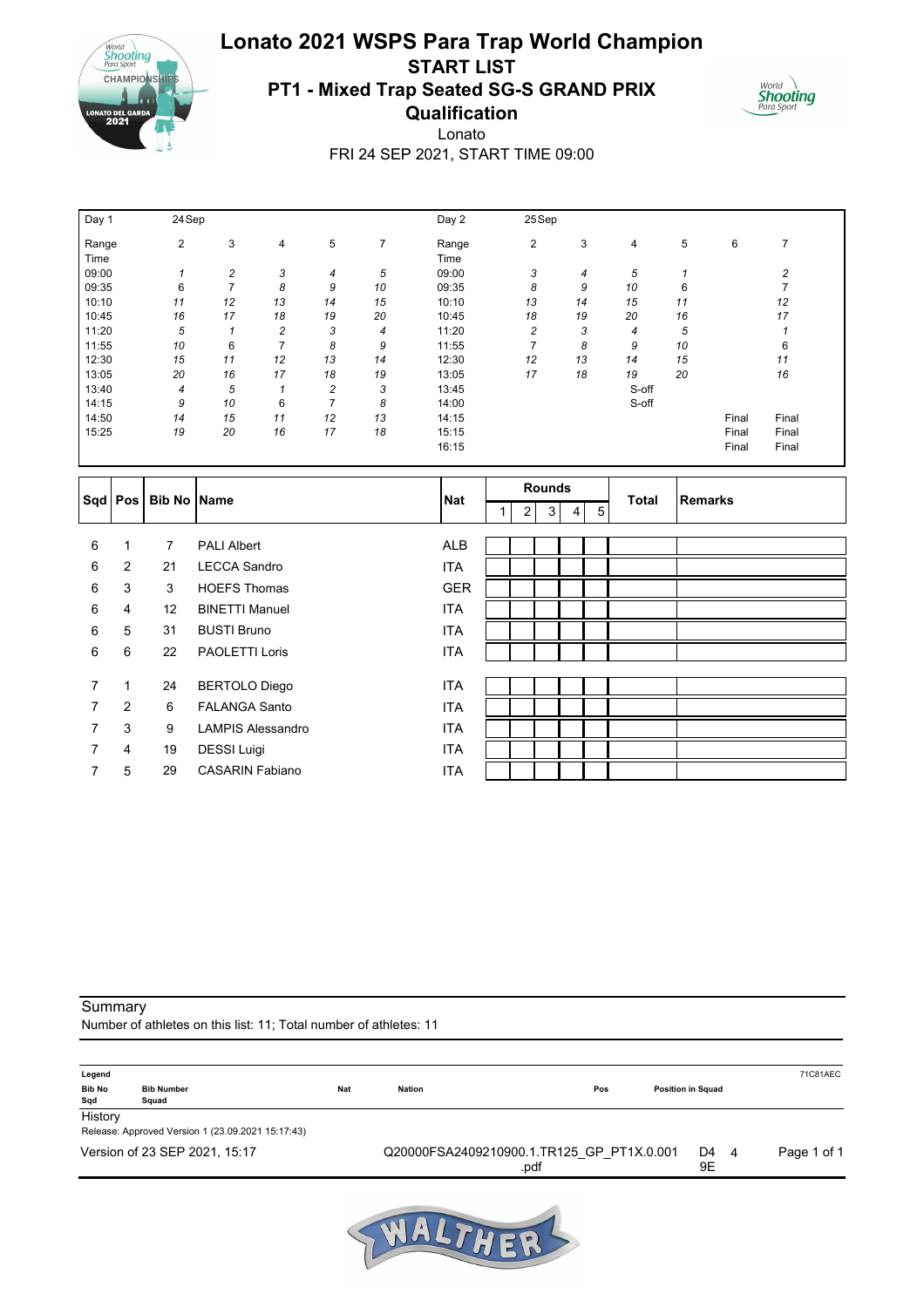

# Lonato 2021 WSPS Para Trap World Champion START LIST PT1 - Mixed Trap Seated SG-S GRAND PRIX **Qualification**



Lonato FRI 24 SEP 2021, START TIME 09:00

| Day 1 | 24 Sep |                         |    |                |                | Day 2 | 25 Sep |    |       |    |       |       |
|-------|--------|-------------------------|----|----------------|----------------|-------|--------|----|-------|----|-------|-------|
| Range | 2      | 3                       | 4  | 5              | 7              | Range | 2      | 3  | 4     | 5  | 6     | 7     |
| Time  |        |                         |    |                |                | Time  |        |    |       |    |       |       |
| 09:00 |        | $\overline{\mathbf{c}}$ | 3  | 4              | 5              | 09:00 | 3      | 4  | 5     |    |       | 2     |
| 09:35 | 6      | $\overline{7}$          | 8  | 9              | 10             | 09:35 | 8      | 9  | 10    | 6  |       |       |
| 10:10 | 11     | 12                      | 13 | 14             | 15             | 10:10 | 13     | 14 | 15    | 11 |       | 12    |
| 10:45 | 16     | 17                      | 18 | 19             | 20             | 10:45 | 18     | 19 | 20    | 16 |       | 17    |
| 11:20 | 5      | $\mathbf{1}$            | 2  | 3              | $\overline{4}$ | 11:20 | 2      | 3  | 4     | 5  |       |       |
| 11:55 | 10     | 6                       | 7  | 8              | 9              | 11:55 | 7      | 8  | 9     | 10 |       | 6     |
| 12:30 | 15     | 11                      | 12 | 13             | 14             | 12:30 | 12     | 13 | 14    | 15 |       | 11    |
| 13:05 | 20     | 16                      | 17 | 18             | 19             | 13:05 | 17     | 18 | 19    | 20 |       | 16    |
| 13:40 | 4      | 5                       |    | $\overline{c}$ | 3              | 13:45 |        |    | S-off |    |       |       |
| 14:15 | 9      | 10                      | 6  | $\overline{7}$ | 8              | 14:00 |        |    | S-off |    |       |       |
| 14:50 | 14     | 15                      | 11 | 12             | 13             | 14:15 |        |    |       |    | Final | Final |
| 15:25 | 19     | 20                      | 16 | 17             | 18             | 15:15 |        |    |       |    | Final | Final |
|       |        |                         |    |                |                | 16:15 |        |    |       |    | Final | Final |

|           |              | Bib No Name |                          |            |                | Rounds |                 |   |              | <b>Remarks</b> |
|-----------|--------------|-------------|--------------------------|------------|----------------|--------|-----------------|---|--------------|----------------|
| Sqd   Pos |              |             |                          | <b>Nat</b> | $\overline{2}$ | 3      | $\vert 4 \vert$ | 5 | <b>Total</b> |                |
|           |              |             |                          |            |                |        |                 |   |              |                |
| 6         | 1            | 7           | <b>PALI Albert</b>       | <b>ALB</b> |                |        |                 |   |              |                |
| 6         | 2            | 21          | <b>LECCA Sandro</b>      | <b>ITA</b> |                |        |                 |   |              |                |
| 6         | 3            | 3           | <b>HOEFS Thomas</b>      | <b>GER</b> |                |        |                 |   |              |                |
| 6         | 4            | 12          | <b>BINETTI Manuel</b>    | ITA        |                |        |                 |   |              |                |
| 6         | 5            | 31          | <b>BUSTI Bruno</b>       | <b>ITA</b> |                |        |                 |   |              |                |
| 6         | 6            | 22          | PAOLETTI Loris           | <b>ITA</b> |                |        |                 |   |              |                |
|           |              |             |                          |            |                |        |                 |   |              |                |
| 7         | $\mathbf{1}$ | 24          | <b>BERTOLO Diego</b>     | <b>ITA</b> |                |        |                 |   |              |                |
|           | 2            | 6           | <b>FALANGA Santo</b>     | ITA        |                |        |                 |   |              |                |
| 7         | 3            | 9           | <b>LAMPIS Alessandro</b> | <b>ITA</b> |                |        |                 |   |              |                |
| 7         | 4            | 19          | <b>DESSI Luigi</b>       | <b>ITA</b> |                |        |                 |   |              |                |
| 7         | 5            | 29          | <b>CASARIN Fabiano</b>   | <b>ITA</b> |                |        |                 |   |              |                |

### **Summary**

Number of athletes on this list: 11; Total number of athletes: 11

| Legend               |                                                   |            |               |                                                   |                          |            | 71C81AEC    |
|----------------------|---------------------------------------------------|------------|---------------|---------------------------------------------------|--------------------------|------------|-------------|
| <b>Bib No</b><br>Sqd | <b>Bib Number</b><br>Squad                        | <b>Nat</b> | <b>Nation</b> | Pos                                               | <b>Position in Squad</b> |            |             |
| History              |                                                   |            |               |                                                   |                          |            |             |
|                      | Release: Approved Version 1 (23.09.2021 15:17:43) |            |               |                                                   |                          |            |             |
|                      | Version of 23 SEP 2021, 15:17                     |            |               | Q20000FSA2409210900.1.TR125 GP PT1X.0.001<br>.pdf |                          | D4 4<br>9E | Page 1 of 1 |
|                      |                                                   |            |               |                                                   |                          |            |             |

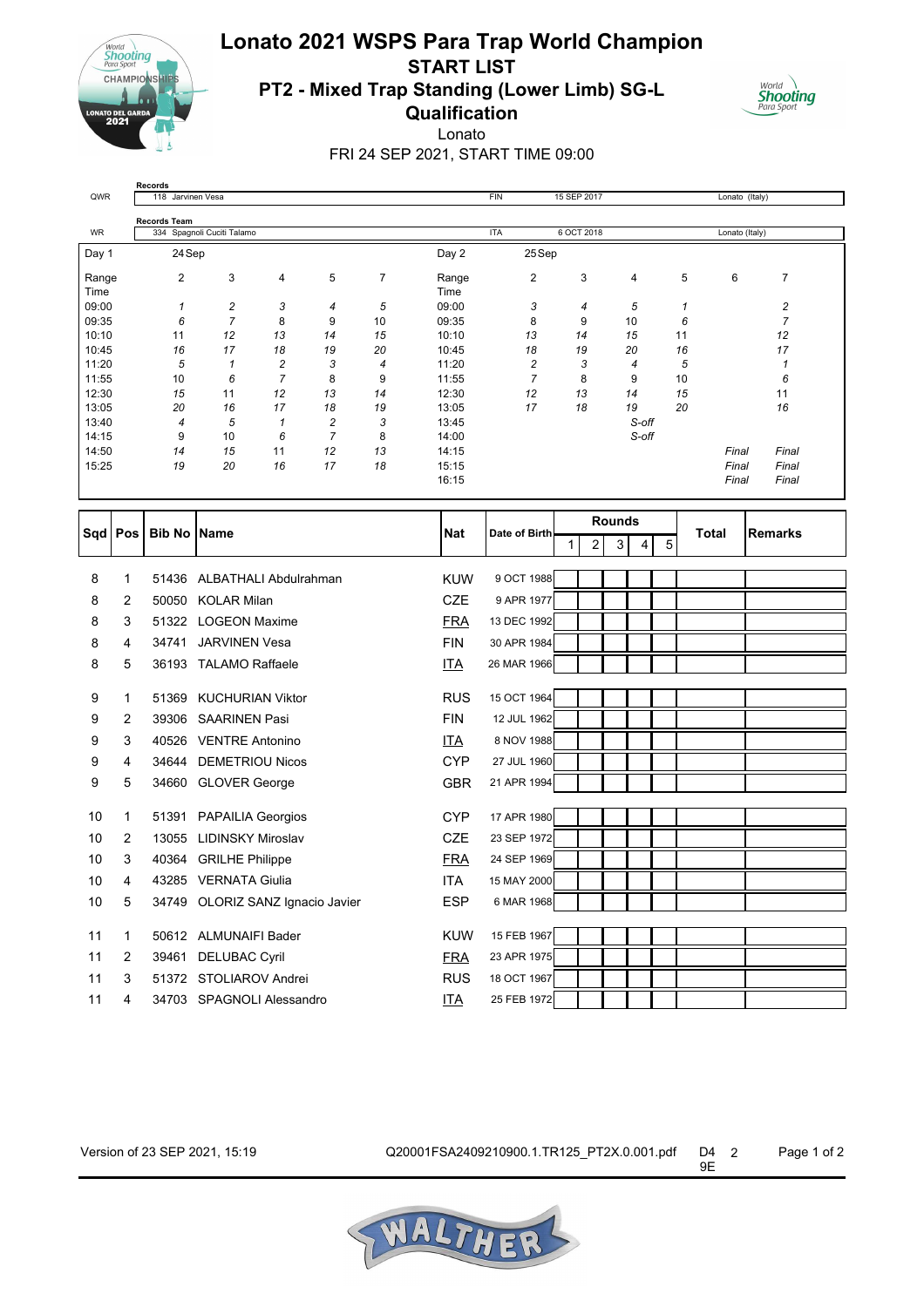

Records

# Lonato 2021 WSPS Para Trap World Champion START LIST PT2 - Mixed Trap Standing (Lower Limb) SG-L **Qualification**



Lonato FRI 24 SEP 2021, START TIME 09:00

| QWR            |                     | 118 Jarvinen Vesa   |                                                |                |                         |                |                          | <b>FIN</b>                 | 15 SEP 2017 |               |          | Lonato (Italy) |                         |  |
|----------------|---------------------|---------------------|------------------------------------------------|----------------|-------------------------|----------------|--------------------------|----------------------------|-------------|---------------|----------|----------------|-------------------------|--|
|                |                     | <b>Records Team</b> |                                                |                |                         |                |                          |                            |             |               |          |                |                         |  |
| WR             |                     |                     | 334 Spagnoli Cuciti Talamo                     |                |                         |                |                          | <b>ITA</b>                 | 6 OCT 2018  |               |          | Lonato (Italy) |                         |  |
| Day 1          |                     | 24 Sep              |                                                |                |                         |                | Day 2                    | 25Sep                      |             |               |          |                |                         |  |
| Range          |                     | 2                   | 3                                              | 4              | 5                       | $\overline{7}$ | Range                    | $\overline{2}$             | 3           | 4             | 5        | 6              | 7                       |  |
| Time           |                     |                     |                                                |                |                         |                | Time                     |                            |             |               |          |                |                         |  |
| 09:00          |                     | 1                   | 2                                              | 3              | 4                       | 5              | 09:00                    | 3                          | 4           | 5             | 1        |                | $\overline{\mathbf{c}}$ |  |
| 09:35          |                     | 6                   | $\overline{7}$                                 | 8              | 9                       | 10             | 09:35                    | 8                          | 9           | 10            | 6        |                | $\overline{7}$          |  |
| 10:10<br>10:45 |                     | 11<br>16            | 12<br>17                                       | 13<br>18       | 14<br>19                | 15<br>20       | 10:10<br>10:45           | 13<br>18                   | 14<br>19    | 15<br>20      | 11<br>16 |                | 12<br>17                |  |
| 11:20          |                     | 5                   | 1                                              | $\overline{c}$ | 3                       | 4              | 11:20                    | $\overline{\mathbf{c}}$    | 3           | 4             | 5        |                | 1                       |  |
| 11:55          |                     | 10                  | 6                                              | $\overline{7}$ | 8                       | 9              | 11:55                    | $\overline{7}$             | 8           | 9             | 10       |                | 6                       |  |
| 12:30          |                     | 15                  | 11                                             | 12             | 13                      | 14             | 12:30                    | 12                         | 13          | 14            | 15       |                | 11                      |  |
| 13:05          |                     | 20                  | 16                                             | 17             | 18                      | 19             | 13:05                    | 17                         | 18          | 19            | 20       |                | 16                      |  |
| 13:40          |                     | 4                   | 5                                              | $\mathbf{1}$   | $\overline{\mathbf{c}}$ | 3              | 13:45                    |                            |             | S-off         |          |                |                         |  |
| 14:15          |                     | 9                   | 10                                             | 6              | $\overline{7}$          | 8              | 14:00                    |                            |             | S-off         |          |                |                         |  |
| 14:50          |                     | 14                  | 15                                             | 11             | 12                      | 13             | 14:15                    |                            |             |               |          | Final          | Final                   |  |
| 15:25          |                     | 19                  | 20                                             | 16             | 17                      | 18             | 15:15<br>16:15           |                            |             |               |          | Final<br>Final | Final<br>Final          |  |
|                |                     |                     |                                                |                |                         |                |                          |                            |             |               |          |                |                         |  |
|                |                     |                     |                                                |                |                         |                |                          |                            |             | <b>Rounds</b> |          |                |                         |  |
| Sqd   Pos      |                     | <b>Bib No Name</b>  |                                                |                |                         |                | Nat                      | Date of Birth              |             |               | Total    |                | <b>Remarks</b>          |  |
|                |                     |                     |                                                |                |                         |                |                          |                            | 2<br>1      | 3<br>4        | 5        |                |                         |  |
| 8              | 1                   |                     | 51436 ALBATHALI Abdulrahman                    |                |                         |                | <b>KUW</b>               | 9 OCT 1988                 |             |               |          |                |                         |  |
| 8              | 2                   | 50050               | KOLAR Milan                                    |                |                         |                | <b>CZE</b>               | 9 APR 1977                 |             |               |          |                |                         |  |
| 8              | 3                   | 51322               | <b>LOGEON Maxime</b>                           |                |                         |                | <b>FRA</b>               | 13 DEC 1992                |             |               |          |                |                         |  |
| 8              | 4                   | 34741               | <b>JARVINEN Vesa</b>                           |                |                         |                | <b>FIN</b>               | 30 APR 1984                |             |               |          |                |                         |  |
| 8              | 5                   | 36193               | TALAMO Raffaele                                |                |                         |                | <u>ITA</u>               | 26 MAR 1966                |             |               |          |                |                         |  |
| 9              | 1                   | 51369               | <b>KUCHURIAN Viktor</b>                        |                |                         |                | <b>RUS</b>               | 15 OCT 1964                |             |               |          |                |                         |  |
| 9              | 2                   | 39306               | <b>SAARINEN Pasi</b>                           |                |                         |                | <b>FIN</b>               | 12 JUL 1962                |             |               |          |                |                         |  |
| 9              | 3                   |                     | 40526 VENTRE Antonino                          |                |                         |                | <u>ITA</u>               | 8 NOV 1988                 |             |               |          |                |                         |  |
| 9              | 4                   | 34644               | <b>DEMETRIOU Nicos</b>                         |                |                         |                | <b>CYP</b>               | 27 JUL 1960                |             |               |          |                |                         |  |
| 9              | 5                   | 34660               | <b>GLOVER George</b>                           |                |                         |                | GBR                      | 21 APR 1994                |             |               |          |                |                         |  |
|                |                     |                     |                                                |                |                         |                |                          |                            |             |               |          |                |                         |  |
| 10             | 1<br>$\overline{2}$ |                     | 51391 PAPAILIA Georgios                        |                |                         |                | <b>CYP</b>               | 17 APR 1980<br>23 SEP 1972 |             |               |          |                |                         |  |
| 10<br>10       | 3                   | 13055               | <b>LIDINSKY Miroslav</b>                       |                |                         |                | <b>CZE</b><br><b>FRA</b> | 24 SEP 1969                |             |               |          |                |                         |  |
| 10             | 4                   | 40364               | <b>GRILHE Philippe</b><br>43285 VERNATA Giulia |                |                         |                | <b>ITA</b>               | 15 MAY 2000                |             |               |          |                |                         |  |
| $10$           | 5                   |                     | 34749 OLORIZ SANZ Ignacio Javier               |                |                         |                | <b>ESP</b>               | 6 MAR 1968                 |             |               |          |                |                         |  |
|                |                     |                     |                                                |                |                         |                |                          |                            |             |               |          |                |                         |  |
| 11             | $\mathbf{1}$        |                     | 50612 ALMUNAIFI Bader                          |                |                         |                | <b>KUW</b>               | 15 FEB 1967                |             |               |          |                |                         |  |
| 11             | 2                   |                     | 39461 DELUBAC Cyril                            |                |                         |                | <b>FRA</b>               | 23 APR 1975                |             |               |          |                |                         |  |
| 11             | 3                   |                     | 51372 STOLIAROV Andrei                         |                |                         |                | <b>RUS</b>               | 18 OCT 1967                |             |               |          |                |                         |  |
| 11             | 4                   |                     | 34703 SPAGNOLI Alessandro                      |                |                         |                | <b>ITA</b>               | 25 FEB 1972                |             |               |          |                |                         |  |

Version of 23 SEP 2021, 15:19 Q20001FSA2409210900.1.TR125\_PT2X.0.001.pdf D4 2 Page 1 of 2 9E

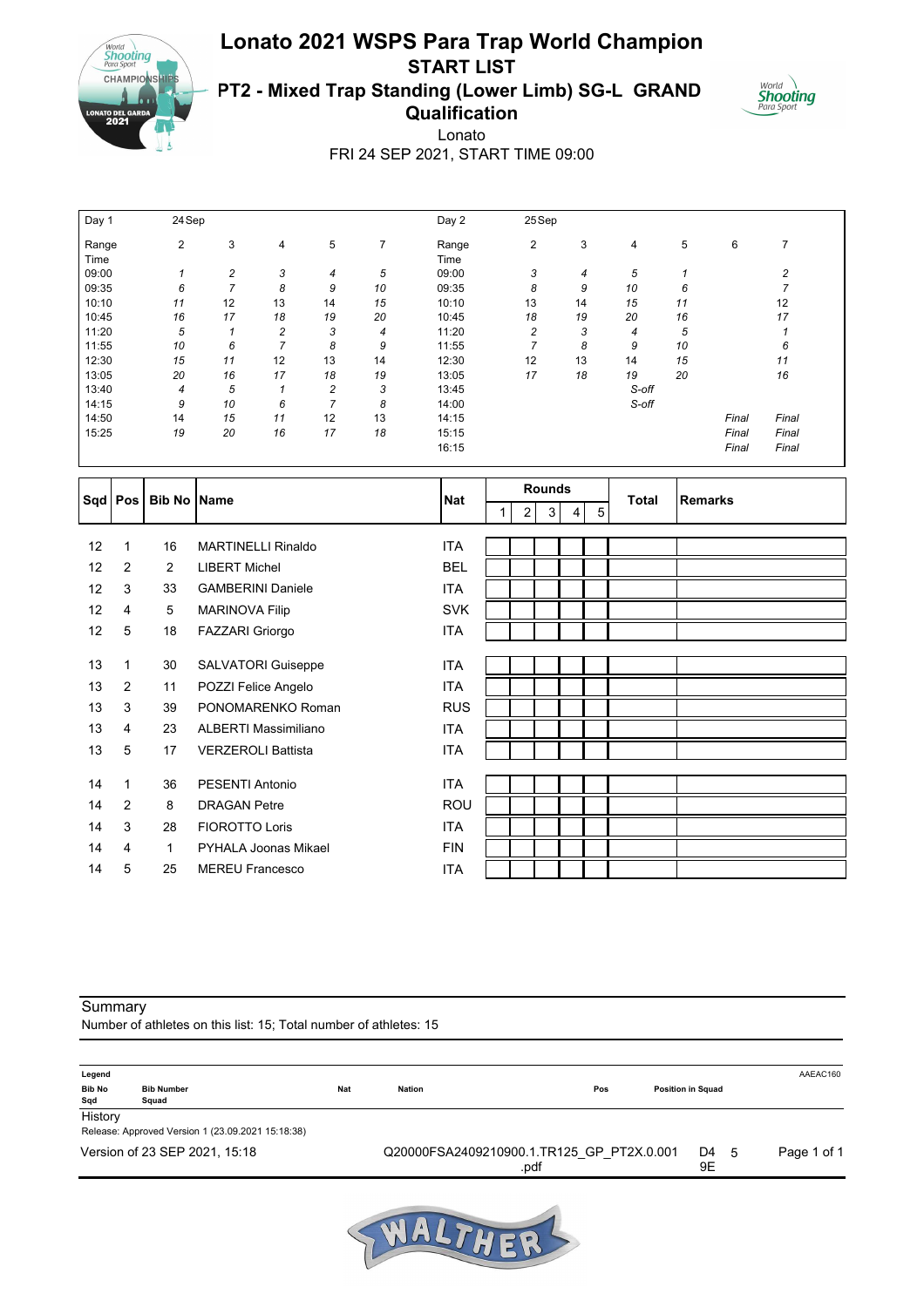

### Lonato 2021 WSPS Para Trap World Champion START LIST PT2 - Mixed Trap Standing (Lower Limb) SG-L GRAND **Qualification**



Lonato FRI 24 SEP 2021, START TIME 09:00

| Day 1 | 24 Sep |                         |    |                |    | Day 2 | 25 Sep         |    |       |    |       |       |
|-------|--------|-------------------------|----|----------------|----|-------|----------------|----|-------|----|-------|-------|
| Range | 2      | 3                       | 4  | 5              | 7  | Range | $\overline{2}$ | 3  | 4     | 5  | 6     | 7     |
| Time  |        |                         |    |                |    | Time  |                |    |       |    |       |       |
| 09:00 |        | $\overline{\mathbf{c}}$ | 3  | 4              | 5  | 09:00 | 3              | 4  | 5     |    |       | 2     |
| 09:35 | 6      | $\overline{ }$          | 8  | 9              | 10 | 09:35 | 8              | 9  | 10    | 6  |       |       |
| 10:10 | 11     | 12                      | 13 | 14             | 15 | 10:10 | 13             | 14 | 15    | 11 |       | 12    |
| 10:45 | 16     | 17                      | 18 | 19             | 20 | 10:45 | 18             | 19 | 20    | 16 |       | 17    |
| 11:20 | 5      | 1                       | 2  | 3              | 4  | 11:20 | 2              | 3  | 4     | 5  |       |       |
| 11:55 | 10     | 6                       | 7  | 8              | 9  | 11:55 | 7              | 8  | 9     | 10 |       | 6     |
| 12:30 | 15     | 11                      | 12 | 13             | 14 | 12:30 | 12             | 13 | 14    | 15 |       | 11    |
| 13:05 | 20     | 16                      | 17 | 18             | 19 | 13:05 | 17             | 18 | 19    | 20 |       | 16    |
| 13:40 | 4      | 5                       |    | $\overline{c}$ | 3  | 13:45 |                |    | S-off |    |       |       |
| 14:15 | 9      | 10                      | 6  | $\overline{7}$ | 8  | 14:00 |                |    | S-off |    |       |       |
| 14:50 | 14     | 15                      | 11 | 12             | 13 | 14:15 |                |    |       |    | Final | Final |
| 15:25 | 19     | 20                      | 16 | 17             | 18 | 15:15 |                |    |       |    | Final | Final |
|       |        |                         |    |                |    | 16:15 |                |    |       |    | Final | Final |

| Sqd   Pos       |                | <b>Bib No Name</b> |                             | <b>Nat</b> |                | <b>Rounds</b>  |                |   | <b>Total</b> | <b>Remarks</b> |
|-----------------|----------------|--------------------|-----------------------------|------------|----------------|----------------|----------------|---|--------------|----------------|
|                 |                |                    |                             |            | $\overline{2}$ | 3 <sup>1</sup> | $\overline{4}$ | 5 |              |                |
|                 |                |                    |                             |            |                |                |                |   |              |                |
| 12              | 1              | 16                 | <b>MARTINELLI Rinaldo</b>   | <b>ITA</b> |                |                |                |   |              |                |
| 12              | 2              | $\overline{2}$     | <b>LIBERT Michel</b>        | <b>BEL</b> |                |                |                |   |              |                |
| 12 <sup>°</sup> | 3              | 33                 | <b>GAMBERINI Daniele</b>    | <b>ITA</b> |                |                |                |   |              |                |
| 12 <sup>°</sup> | 4              | 5                  | <b>MARINOVA Filip</b>       | <b>SVK</b> |                |                |                |   |              |                |
| 12              | 5              | 18                 | FAZZARI Griorgo             | <b>ITA</b> |                |                |                |   |              |                |
|                 |                |                    |                             |            |                |                |                |   |              |                |
| 13              | 1              | 30                 | SALVATORI Guiseppe          | ITA        |                |                |                |   |              |                |
| 13              | 2              | 11                 | POZZI Felice Angelo         | <b>ITA</b> |                |                |                |   |              |                |
| 13              | 3              | 39                 | PONOMARENKO Roman           | <b>RUS</b> |                |                |                |   |              |                |
| 13              | 4              | 23                 | <b>ALBERTI Massimiliano</b> | ITA        |                |                |                |   |              |                |
| 13              | 5              | 17                 | <b>VERZEROLI Battista</b>   | <b>ITA</b> |                |                |                |   |              |                |
|                 |                |                    |                             |            |                |                |                |   |              |                |
| 14              | $\mathbf 1$    | 36                 | <b>PESENTI Antonio</b>      | <b>ITA</b> |                |                |                |   |              |                |
| 14              | $\overline{2}$ | 8                  | <b>DRAGAN</b> Petre         | <b>ROU</b> |                |                |                |   |              |                |
| 14              | 3              | 28                 | <b>FIOROTTO Loris</b>       | <b>ITA</b> |                |                |                |   |              |                |
| 14              | $\overline{4}$ | $\mathbf{1}$       | <b>PYHALA Joonas Mikael</b> | <b>FIN</b> |                |                |                |   |              |                |
| 14              | 5              | 25                 | <b>MEREU Francesco</b>      | <b>ITA</b> |                |                |                |   |              |                |

### **Summary**

Number of athletes on this list: 15; Total number of athletes: 15

| Legend               |                                                   |            |               |                                                   |                          |            | AAEAC160    |
|----------------------|---------------------------------------------------|------------|---------------|---------------------------------------------------|--------------------------|------------|-------------|
| <b>Bib No</b><br>Sqd | <b>Bib Number</b><br>Squad                        | <b>Nat</b> | <b>Nation</b> | Pos                                               | <b>Position in Squad</b> |            |             |
| History              |                                                   |            |               |                                                   |                          |            |             |
|                      | Release: Approved Version 1 (23.09.2021 15:18:38) |            |               |                                                   |                          |            |             |
|                      | Version of 23 SEP 2021, 15:18                     |            |               | Q20000FSA2409210900.1.TR125_GP_PT2X.0.001<br>.pdf |                          | D4 5<br>9E | Page 1 of 1 |
|                      |                                                   |            |               |                                                   |                          |            |             |

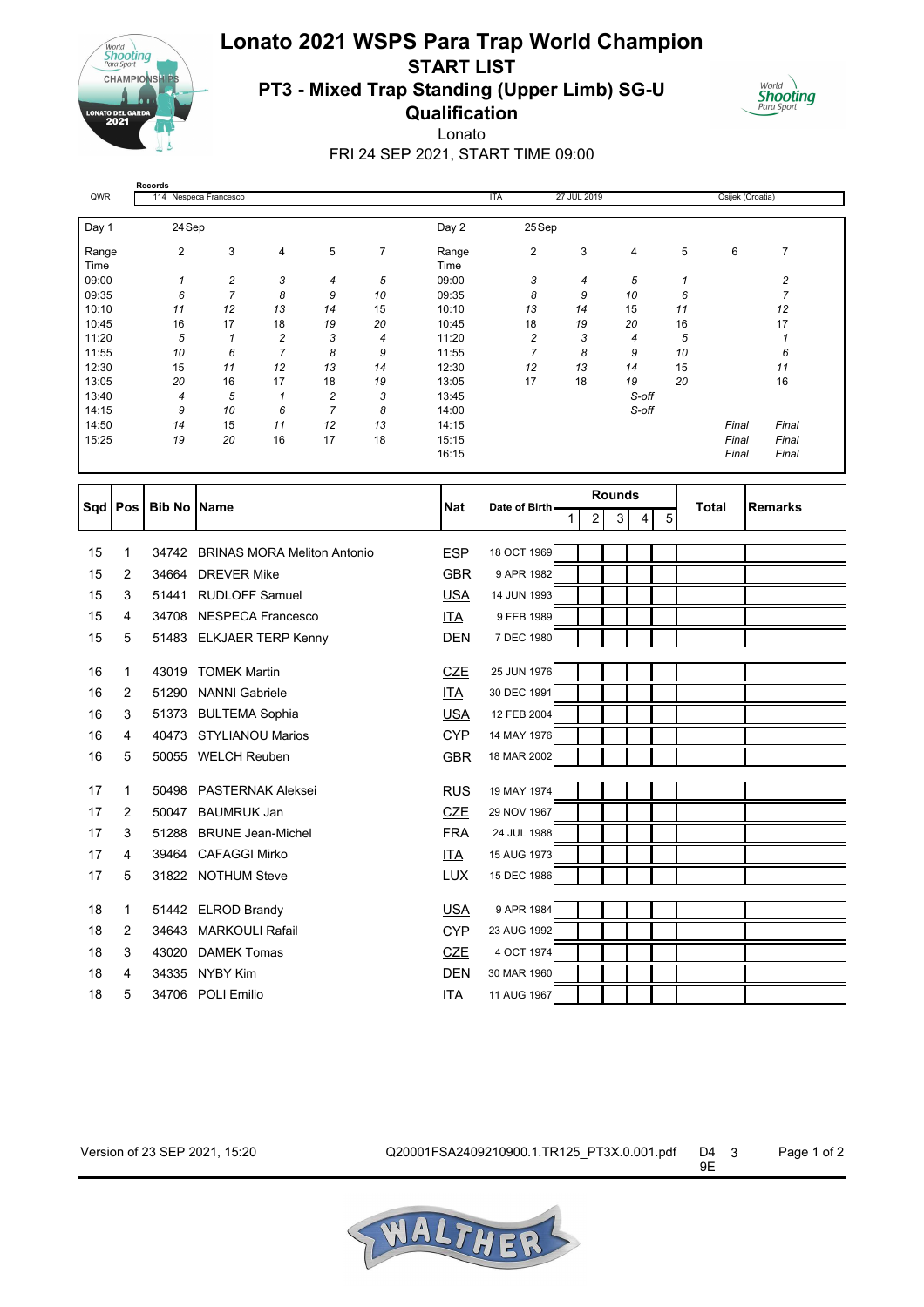

# Lonato 2021 WSPS Para Trap World Champion START LIST PT3 - Mixed Trap Standing (Upper Limb) SG-U **Qualification**



Lonato FRI 24 SEP 2021, START TIME 09:00

| QWR            |   | Records     | 114 Nespeca Francesco              |                |                  |                |                | <b>ITA</b>              | 27 JUL 2019      |               |          | Osijek (Croatia) |                                           |  |
|----------------|---|-------------|------------------------------------|----------------|------------------|----------------|----------------|-------------------------|------------------|---------------|----------|------------------|-------------------------------------------|--|
|                |   |             |                                    |                |                  |                |                |                         |                  |               |          |                  |                                           |  |
| Day 1          |   | 24 Sep      |                                    |                |                  |                | Day 2          | 25Sep                   |                  |               |          |                  |                                           |  |
| Range          |   | 2           | 3                                  | 4              | 5                | $\overline{7}$ | Range          | $\overline{c}$          | 3                | 4             | 5        | 6                | 7                                         |  |
| Time           |   |             |                                    |                |                  |                | Time           |                         |                  |               |          |                  |                                           |  |
| 09:00<br>09:35 |   | 1<br>6      | 2<br>$\overline{7}$                | 3<br>8         | 4<br>9           | 5<br>10        | 09:00<br>09:35 | 3<br>8                  | 4<br>9           | 5<br>10       | 1<br>6   |                  | $\overline{\mathbf{c}}$<br>$\overline{7}$ |  |
| 10:10          |   | 11          | 12                                 | 13             | 14               | 15             | 10:10          | 13                      | 14               | 15            | 11       |                  | 12                                        |  |
| 10:45          |   | 16          | 17                                 | 18             | 19               | 20             | 10:45          | 18                      | 19               | 20            | 16       |                  | 17                                        |  |
| 11:20          |   | 5           | 1                                  | $\overline{c}$ | 3                | 4              | 11:20          | $\overline{\mathbf{c}}$ | 3                | 4             | 5        |                  | 1                                         |  |
| 11:55          |   | 10          | 6                                  | $\overline{7}$ | 8                | 9              | 11:55          | $\overline{7}$          | 8                | 9             | 10       |                  | 6                                         |  |
| 12:30          |   | 15<br>20    | 11<br>16                           | 12<br>17       | 13               | 14             | 12:30          | 12<br>17                | 13<br>18         | 14<br>19      | 15<br>20 |                  | 11<br>16                                  |  |
| 13:05<br>13:40 |   | 4           | 5                                  | $\mathbf 1$    | 18<br>$\sqrt{2}$ | 19<br>3        | 13:05<br>13:45 |                         |                  | S-off         |          |                  |                                           |  |
| 14:15          |   | 9           | 10                                 | 6              | $\overline{7}$   | 8              | 14:00          |                         |                  | S-off         |          |                  |                                           |  |
| 14:50          |   | 14          | 15                                 | 11             | 12               | 13             | 14:15          |                         |                  |               |          | Final            | Final                                     |  |
| 15:25          |   | 19          | 20                                 | 16             | 17               | 18             | 15:15          |                         |                  |               |          | Final            | Final                                     |  |
|                |   |             |                                    |                |                  |                | 16:15          |                         |                  |               |          | Final            | Final                                     |  |
|                |   |             |                                    |                |                  |                |                |                         |                  |               |          |                  |                                           |  |
| Sqd   Pos      |   | Bib No Name |                                    |                |                  |                | Nat            | Date of Birth           |                  | <b>Rounds</b> |          | Total            | <b>Remarks</b>                            |  |
|                |   |             |                                    |                |                  |                |                |                         | 2<br>$\mathbf 1$ | 3<br>4        | 5        |                  |                                           |  |
|                |   |             |                                    |                |                  |                |                |                         |                  |               |          |                  |                                           |  |
| 15             | 1 | 34742       | <b>BRINAS MORA Meliton Antonio</b> |                |                  |                | <b>ESP</b>     | 18 OCT 1969             |                  |               |          |                  |                                           |  |
| 15             | 2 | 34664       | <b>DREVER Mike</b>                 |                |                  |                | <b>GBR</b>     | 9 APR 1982              |                  |               |          |                  |                                           |  |
| 15             | 3 | 51441       | <b>RUDLOFF Samuel</b>              |                |                  |                | <b>USA</b>     | 14 JUN 1993             |                  |               |          |                  |                                           |  |
| 15             | 4 | 34708       | <b>NESPECA Francesco</b>           |                |                  |                | <b>ITA</b>     | 9 FEB 1989              |                  |               |          |                  |                                           |  |
| 15             | 5 |             | 51483 ELKJAER TERP Kenny           |                |                  |                | <b>DEN</b>     | 7 DEC 1980              |                  |               |          |                  |                                           |  |
| 16             | 1 | 43019       | <b>TOMEK Martin</b>                |                |                  |                | <b>CZE</b>     | 25 JUN 1976             |                  |               |          |                  |                                           |  |
| 16             | 2 | 51290       | <b>NANNI Gabriele</b>              |                |                  |                | <u>ITA</u>     | 30 DEC 1991             |                  |               |          |                  |                                           |  |
| 16             | 3 |             | 51373 BULTEMA Sophia               |                |                  |                | <b>USA</b>     | 12 FEB 2004             |                  |               |          |                  |                                           |  |
| 16             | 4 |             | 40473 STYLIANOU Marios             |                |                  |                | <b>CYP</b>     | 14 MAY 1976             |                  |               |          |                  |                                           |  |
| 16             | 5 |             | 50055 WELCH Reuben                 |                |                  |                | <b>GBR</b>     | 18 MAR 2002             |                  |               |          |                  |                                           |  |
|                |   |             |                                    |                |                  |                |                |                         |                  |               |          |                  |                                           |  |
| 17             | 1 |             | 50498 PASTERNAK Aleksei            |                |                  |                | <b>RUS</b>     | 19 MAY 1974             |                  |               |          |                  |                                           |  |
| 17             | 2 | 50047       | <b>BAUMRUK Jan</b>                 |                |                  |                | <b>CZE</b>     | 29 NOV 1967             |                  |               |          |                  |                                           |  |
| 17             | 3 | 51288       | <b>BRUNE Jean-Michel</b>           |                |                  |                | <b>FRA</b>     | 24 JUL 1988             |                  |               |          |                  |                                           |  |
| 17             | 4 | 39464       | <b>CAFAGGI Mirko</b>               |                |                  |                | <b>ITA</b>     | 15 AUG 1973             |                  |               |          |                  |                                           |  |
| 17             | 5 |             | 31822 NOTHUM Steve                 |                |                  |                | LUX            | 15 DEC 1986             |                  |               |          |                  |                                           |  |
|                |   |             |                                    |                |                  |                |                |                         |                  |               |          |                  |                                           |  |
| 18             | 1 |             | 51442 ELROD Brandy                 |                |                  |                | <b>USA</b>     | 9 APR 1984              |                  |               |          |                  |                                           |  |
| 18             | 2 |             | 34643 MARKOULI Rafail              |                |                  |                | <b>CYP</b>     | 23 AUG 1992             |                  |               |          |                  |                                           |  |
| 18             | 3 |             | 43020 DAMEK Tomas                  |                |                  |                | CZE            | 4 OCT 1974              |                  |               |          |                  |                                           |  |
| 18             | 4 |             | 34335 NYBY Kim                     |                |                  |                | <b>DEN</b>     | 30 MAR 1960             |                  |               |          |                  |                                           |  |
| 18             | 5 |             | 34706 POLI Emilio                  |                |                  |                | <b>ITA</b>     | 11 AUG 1967             |                  |               |          |                  |                                           |  |

Version of 23 SEP 2021, 15:20 Q20001FSA2409210900.1.TR125\_PT3X.0.001.pdf D4 3 Page 1 of 2 9E